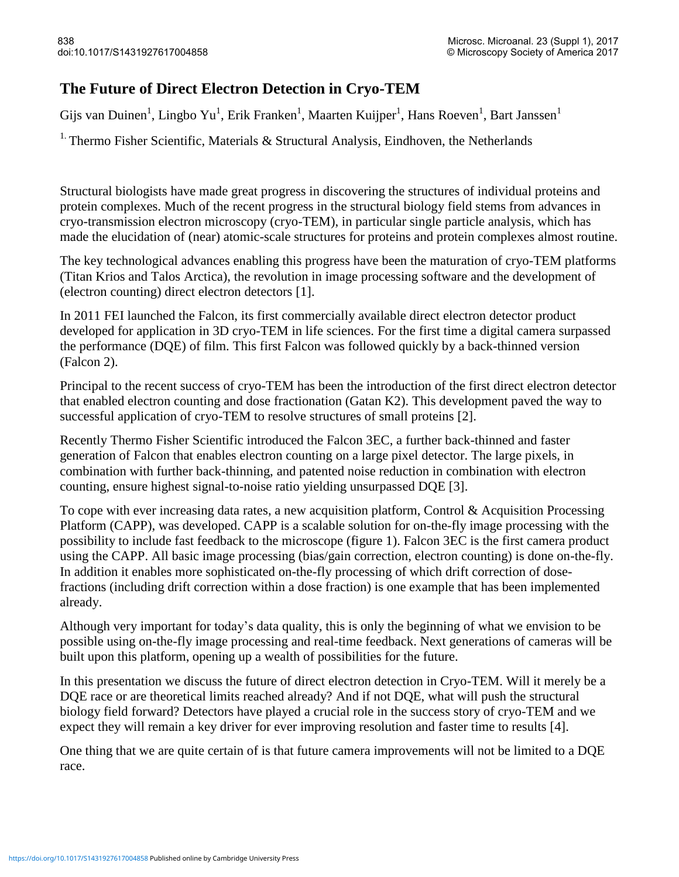## **The Future of Direct Electron Detection in Cryo-TEM**

Gijs van Duinen<sup>1</sup>, Lingbo Yu<sup>1</sup>, Erik Franken<sup>1</sup>, Maarten Kuijper<sup>1</sup>, Hans Roeven<sup>1</sup>, Bart Janssen<sup>1</sup>

<sup>1.</sup> Thermo Fisher Scientific, Materials & Structural Analysis, Eindhoven, the Netherlands

Structural biologists have made great progress in discovering the structures of individual proteins and protein complexes. Much of the recent progress in the structural biology field stems from advances in cryo-transmission electron microscopy (cryo-TEM), in particular single particle analysis, which has made the elucidation of (near) atomic-scale structures for proteins and protein complexes almost routine.

The key technological advances enabling this progress have been the maturation of cryo-TEM platforms (Titan Krios and Talos Arctica), the revolution in image processing software and the development of (electron counting) direct electron detectors [1].

In 2011 FEI launched the Falcon, its first commercially available direct electron detector product developed for application in 3D cryo-TEM in life sciences. For the first time a digital camera surpassed the performance (DQE) of film. This first Falcon was followed quickly by a back-thinned version (Falcon 2).

Principal to the recent success of cryo-TEM has been the introduction of the first direct electron detector that enabled electron counting and dose fractionation (Gatan K2). This development paved the way to successful application of cryo-TEM to resolve structures of small proteins [2].

Recently Thermo Fisher Scientific introduced the Falcon 3EC, a further back-thinned and faster generation of Falcon that enables electron counting on a large pixel detector. The large pixels, in combination with further back-thinning, and patented noise reduction in combination with electron counting, ensure highest signal-to-noise ratio yielding unsurpassed DQE [3].

To cope with ever increasing data rates, a new acquisition platform, Control & Acquisition Processing Platform (CAPP), was developed. CAPP is a scalable solution for on-the-fly image processing with the possibility to include fast feedback to the microscope (figure 1). Falcon 3EC is the first camera product using the CAPP. All basic image processing (bias/gain correction, electron counting) is done on-the-fly. In addition it enables more sophisticated on-the-fly processing of which drift correction of dosefractions (including drift correction within a dose fraction) is one example that has been implemented already.

Although very important for today's data quality, this is only the beginning of what we envision to be possible using on-the-fly image processing and real-time feedback. Next generations of cameras will be built upon this platform, opening up a wealth of possibilities for the future.

In this presentation we discuss the future of direct electron detection in Cryo-TEM. Will it merely be a DQE race or are theoretical limits reached already? And if not DQE, what will push the structural biology field forward? Detectors have played a crucial role in the success story of cryo-TEM and we expect they will remain a key driver for ever improving resolution and faster time to results [4].

One thing that we are quite certain of is that future camera improvements will not be limited to a DQE race.